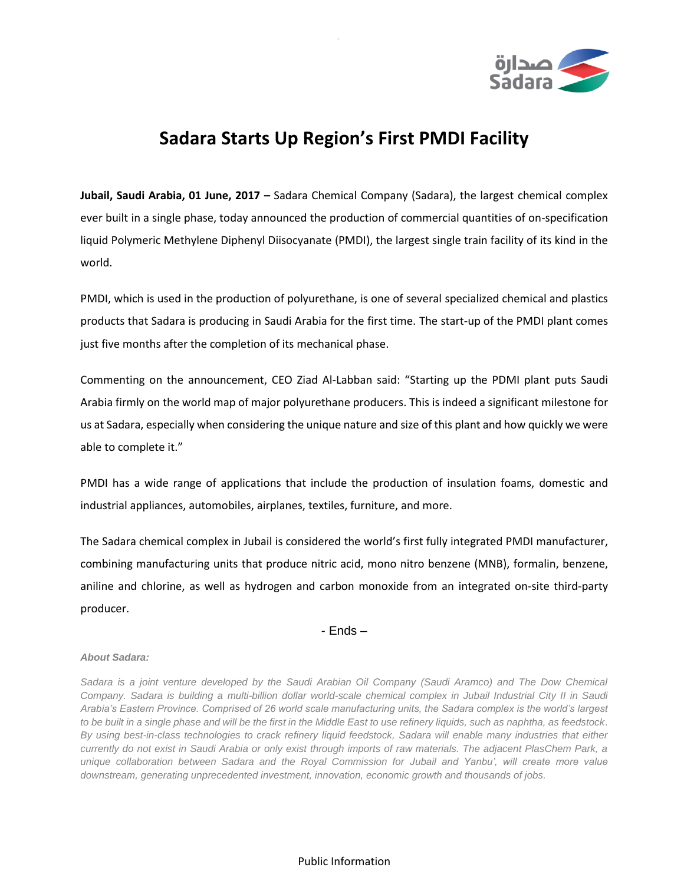

## **Sadara Starts Up Region's First PMDI Facility**

**Jubail, Saudi Arabia, 01 June, 2017 –** Sadara Chemical Company (Sadara), the largest chemical complex ever built in a single phase, today announced the production of commercial quantities of on-specification liquid Polymeric Methylene Diphenyl Diisocyanate (PMDI), the largest single train facility of its kind in the world.

PMDI, which is used in the production of polyurethane, is one of several specialized chemical and plastics products that Sadara is producing in Saudi Arabia for the first time. The start-up of the PMDI plant comes just five months after the completion of its mechanical phase.

Commenting on the announcement, CEO Ziad Al-Labban said: "Starting up the PDMI plant puts Saudi Arabia firmly on the world map of major polyurethane producers. This is indeed a significant milestone for us at Sadara, especially when considering the unique nature and size of this plant and how quickly we were able to complete it."

PMDI has a wide range of applications that include the production of insulation foams, domestic and industrial appliances, automobiles, airplanes, textiles, furniture, and more.

The Sadara chemical complex in Jubail is considered the world's first fully integrated PMDI manufacturer, combining manufacturing units that produce nitric acid, mono nitro benzene (MNB), formalin, benzene, aniline and chlorine, as well as hydrogen and carbon monoxide from an integrated on-site third-party producer.

- Ends –

## *About Sadara:*

*Sadara is a joint venture developed by the Saudi Arabian Oil Company (Saudi Aramco) and The Dow Chemical Company. Sadara is building a multi-billion dollar world-scale chemical complex in Jubail Industrial City II in Saudi Arabia's Eastern Province. Comprised of 26 world scale manufacturing units, the Sadara complex is the world's largest to be built in a single phase and will be the first in the Middle East to use refinery liquids, such as naphtha, as feedstock. By using best-in-class technologies to crack refinery liquid feedstock, Sadara will enable many industries that either currently do not exist in Saudi Arabia or only exist through imports of raw materials. The adjacent PlasChem Park, a unique collaboration between Sadara and the Royal Commission for Jubail and Yanbu', will create more value downstream, generating unprecedented investment, innovation, economic growth and thousands of jobs.* 

## Public Information